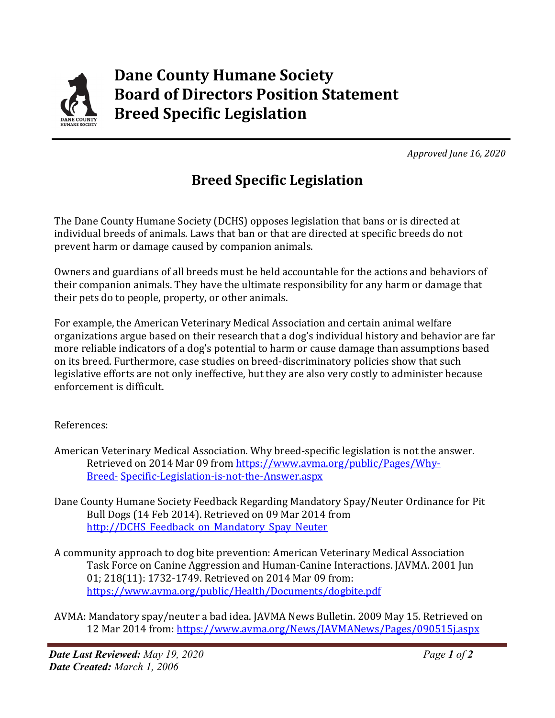

 *Approved June 16, 2020*

## **Breed Specific Legislation**

The Dane County Humane Society (DCHS) opposes legislation that bans or is directed at individual breeds of animals. Laws that ban or that are directed at specific breeds do not prevent harm or damage caused by companion animals.

Owners and guardians of all breeds must be held accountable for the actions and behaviors of their companion animals. They have the ultimate responsibility for any harm or damage that their pets do to people, property, or other animals.

For example, the American Veterinary Medical Association and certain animal welfare organizations argue based on their research that a dog's individual history and behavior are far more reliable indicators of a dog's potential to harm or cause damage than assumptions based on its breed. Furthermore, case studies on breed-discriminatory policies show that such legislative efforts are not only ineffective, but they are also very costly to administer because enforcement is difficult.

## References:

- American Veterinary Medical Association. Why breed-specific legislation is not the answer. Retrieved on 2014 Mar 09 from https:/[/www.avma.org/public/Pages/Why-](http://www.avma.org/public/Pages/Why-Breed-)[Breed-](http://www.avma.org/public/Pages/Why-Breed-) Specific-Legislation-is-not-the-Answer.aspx
- Dane County Humane Society Feedback Regarding Mandatory Spay/Neuter Ordinance for Pit Bull Dogs (14 Feb 2014). Retrieved on 09 Mar 2014 from http://DCHS Feedback on Mandatory Spay Neuter
- A community approach to dog bite prevention: American Veterinary Medical Association Task Force on Canine Aggression and Human-Canine Interactions. JAVMA. 2001 Jun 01; 218(11): 1732-1749. Retrieved on 2014 Mar 09 from: https:/[/www.avma.org/public/Health/Documents/dogbite.pdf](http://www.avma.org/public/Health/Documents/dogbite.pdf)
- AVMA: Mandatory spay/neuter a bad idea. JAVMA News Bulletin. 2009 May 15. Retrieved on 12 Mar 2014 from: https:/[/www.avma.org/News/JAVMANews/Pages/090515j.aspx](http://www.avma.org/News/JAVMANews/Pages/090515j.aspx)